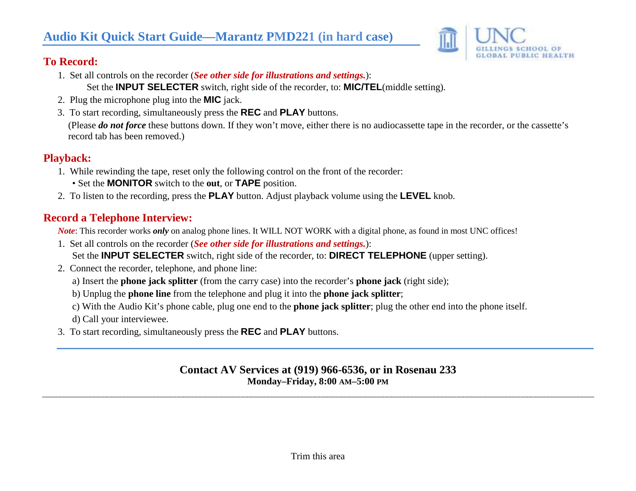# **Audio Kit Quick Start Guide—Marantz PMD221 (in hard case)**



### **To Record:**

- 1. Set all controls on the recorder (*See other side for illustrations and settings.*): Set the **INPUT SELECTER** switch, right side of the recorder, to: **MIC/TEL**(middle setting).
- 2. Plug the microphone plug into the **MIC** jack.
- 3. To start recording, simultaneously press the **REC** and **PLAY** buttons.

(Please *do not force* these buttons down. If they won't move, either there is no audiocassette tape in the recorder, or the cassette's record tab has been removed.)

#### **Playback:**

- 1. While rewinding the tape, reset only the following control on the front of the recorder:
	- Set the **MONITOR** switch to the **out**, or **TAPE** position.
- 2. To listen to the recording, press the **PLAY** button. Adjust playback volume using the **LEVEL** knob.

## **Record a Telephone Interview:**

*Note*: This recorder works *only* on analog phone lines. It WILL NOT WORK with a digital phone, as found in most UNC offices!

- 1. Set all controls on the recorder (*See other side for illustrations and settings.*): Set the **INPUT SELECTER** switch, right side of the recorder, to: **DIRECT TELEPHONE** (upper setting).
- 2. Connect the recorder, telephone, and phone line:
	- a) Insert the **phone jack splitter** (from the carry case) into the recorder's **phone jack** (right side);
	- b) Unplug the **phone line** from the telephone and plug it into the **phone jack splitter**;
	- c) With the Audio Kit's phone cable, plug one end to the **phone jack splitter**; plug the other end into the phone itself.
	- d) Call your interviewee.
- 3. To start recording, simultaneously press the **REC** and **PLAY** buttons.

#### **Contact AV Services at (919) 966-6536, or in Rosenau 233 Monday–Friday, 8:00 AM–5:00 PM**